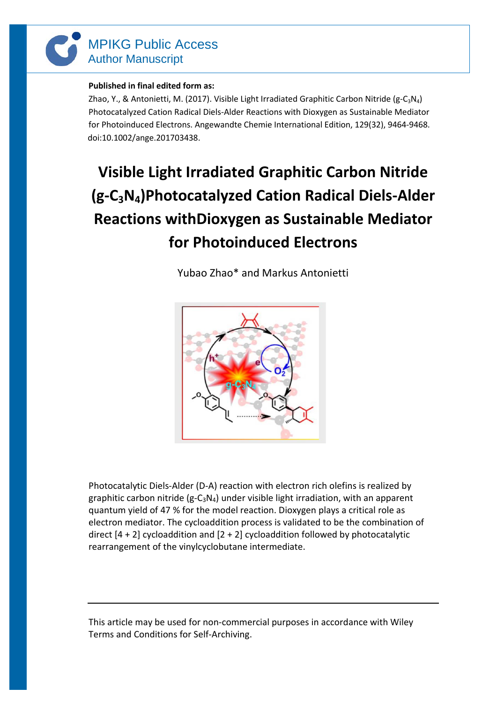

## **Published in final edited form as:**

Zhao, Y., & Antonietti, M. (2017). Visible Light Irradiated Graphitic Carbon Nitride (g-C<sub>3</sub>N<sub>4</sub>) Photocatalyzed Cation Radical Diels-Alder Reactions with Dioxygen as Sustainable Mediator for Photoinduced Electrons. Angewandte Chemie International Edition, 129(32), 9464-9468. doi:10.1002/ange.201703438.

## **Visible Light Irradiated Graphitic Carbon Nitride (g-C3N4)Photocatalyzed Cation Radical Diels-Alder Reactions withDioxygen as Sustainable Mediator for Photoinduced Electrons**

Yubao Zhao\* and Markus Antonietti



Photocatalytic Diels-Alder (D-A) reaction with electron rich olefins is realized by graphitic carbon nitride (g-C<sub>3</sub>N<sub>4</sub>) under visible light irradiation, with an apparent quantum yield of 47 % for the model reaction. Dioxygen plays a critical role as electron mediator. The cycloaddition process is validated to be the combination of direct  $[4 + 2]$  cycloaddition and  $[2 + 2]$  cycloaddition followed by photocatalytic rearrangement of the vinylcyclobutane intermediate.

This article may be used for non-commercial purposes in accordance with Wiley Terms and Conditions for Self-Archiving.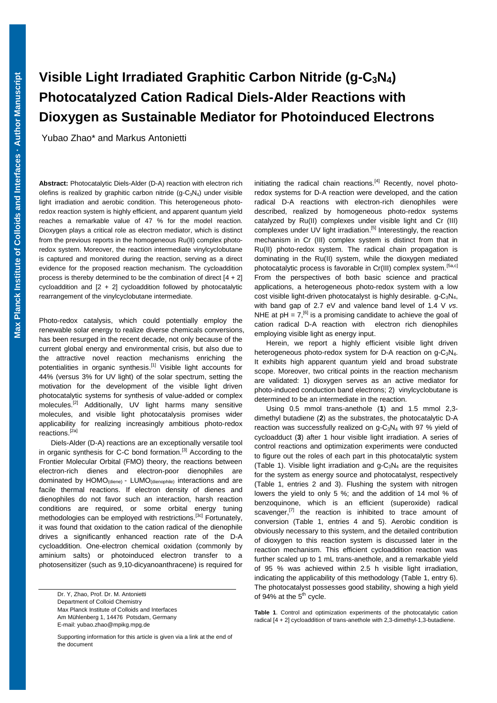## **Photocatalyzed Cation Radical Diels-Alder Reactions with Visible Light Irradiated Graphitic Carbon Nitride (g-C3N4) Dioxygen as Sustainable Mediator for Photoinduced Electrons**

Yubao Zhao\* and Markus Antonietti

**Abstract:** Photocatalytic Diels-Alder (D-A) reaction with electron rich olefins is realized by graphitic carbon nitride  $(g - C_3N_4)$  under visible light irradiation and aerobic condition. This heterogeneous photoredox reaction system is highly efficient, and apparent quantum yield reaches a remarkable value of 47 % for the model reaction. Dioxygen plays a critical role as electron mediator, which is distinct from the previous reports in the homogeneous Ru(II) complex photoredox system. Moreover, the reaction intermediate vinylcyclobutane is captured and monitored during the reaction, serving as a direct evidence for the proposed reaction mechanism. The cycloaddition process is thereby determined to be the combination of direct  $[4 + 2]$ cycloaddition and [2 + 2] cycloaddition followed by photocatalytic rearrangement of the vinylcyclobutane intermediate.

Photo-redox catalysis, which could potentially employ the renewable solar energy to realize diverse chemicals conversions, has been resurged in the recent decade, not only because of the current global energy and environmental crisis, but also due to the attractive novel reaction mechanisms enriching the potentialities in organic synthesis.<sup>[1]</sup> Visible light accounts for 44% (versus 3% for UV light) of the solar spectrum, setting the motivation for the development of the visible light driven photocatalytic systems for synthesis of value-added or complex molecules.<sup>[2]</sup> Additionally, UV light harms many sensitive molecules, and visible light photocatalysis promises wider applicability for realizing increasingly ambitious photo-redox reactions.[2a]

Diels-Alder (D-A) reactions are an exceptionally versatile tool in organic synthesis for C-C bond formation.<sup>[3]</sup> According to the Frontier Molecular Orbital (FMO) theory, the reactions between electron-rich dienes and electron-poor dienophiles are dominated by HOMO(diene) - LUMO(dienophile) interactions and are facile thermal reactions. If electron density of dienes and dienophiles do not favor such an interaction, harsh reaction conditions are required, or some orbital energy tuning methodologies can be employed with restrictions.<sup>[3c]</sup> Fortunately, it was found that oxidation to the cation radical of the dienophile drives a significantly enhanced reaction rate of the D-A cycloaddition. One-electron chemical oxidation (commonly by aminium salts) or photoinduced electron transfer to a photosensitizer (such as 9,10-dicyanoanthracene) is required for

Dr. Y, Zhao, Prof. Dr. M. Antonietti Department of Colloid Chemistry Max Planck Institute of Colloids and Interfaces Am Mühlenberg 1, 14476 Potsdam, Germany E-mail: yubao.zhao@mpikg.mpg.de

Supporting information for this article is given via a link at the end of the document

initiating the radical chain reactions.<sup>[4]</sup> Recently, novel photoredox systems for D-A reaction were developed, and the cation radical D-A reactions with electron-rich dienophiles were described, realized by homogeneous photo-redox systems catalyzed by Ru(II) complexes under visible light and Cr (III) complexes under UV light irradiation.<sup>[5]</sup> Interestingly, the reaction mechanism in Cr (III) complex system is distinct from that in Ru(II) photo-redox system. The radical chain propagation is dominating in the Ru(II) system, while the dioxygen mediated photocatalytic process is favorable in Cr(III) complex system.<sup>[5a,c]</sup> From the perspectives of both basic science and practical applications, a heterogeneous photo-redox system with a low cost visible light-driven photocatalyst is highly desirable.  $g - C_3N_4$ , with band gap of 2.7 eV and valence band level of 1.4 V *vs*. NHE at  $pH = 7$ ,<sup>[6]</sup> is a promising candidate to achieve the goal of cation radical D-A reaction with electron rich dienophiles employing visible light as energy input.

Herein, we report a highly efficient visible light driven heterogeneous photo-redox system for D-A reaction on  $g - C_3N_4$ . It exhibits high apparent quantum yield and broad substrate scope. Moreover, two critical points in the reaction mechanism are validated: 1) dioxygen serves as an active mediator for photo-induced conduction band electrons; 2) vinylcyclobutane is determined to be an intermediate in the reaction.

Using 0.5 mmol trans-anethole (**1**) and 1.5 mmol 2,3 dimethyl butadiene (**2**) as the substrates, the photocatalytic D-A reaction was successfully realized on  $g-C_3N_4$  with 97 % yield of cycloadduct (**3**) after 1 hour visible light irradiation. A series of control reactions and optimization experiments were conducted to figure out the roles of each part in this photocatalytic system (Table 1). Visible light irradiation and  $g - C_3N_4$  are the requisites for the system as energy source and photocatalyst, respectively (Table 1, entries 2 and 3). Flushing the system with nitrogen lowers the yield to only 5 %; and the addition of 14 mol % of benzoquinone, which is an efficient (superoxide) radical scavenger,<sup>[7]</sup> the reaction is inhibited to trace amount of conversion (Table 1, entries 4 and 5). Aerobic condition is obviously necessary to this system, and the detailed contribution of dioxygen to this reaction system is discussed later in the reaction mechanism. This efficient cycloaddition reaction was further scaled up to 1 mL trans-anethole, and a remarkable yield of 95 % was achieved within 2.5 h visible light irradiation, indicating the applicability of this methodology (Table 1, entry 6). The photocatalyst possesses good stability, showing a high yield of 94% at the  $5<sup>th</sup>$  cycle.

**Table 1**. Control and optimization experiments of the photocatalytic cation radical [4 + 2] cycloaddition of trans-anethole with 2,3-dimethyl-1,3-butadiene.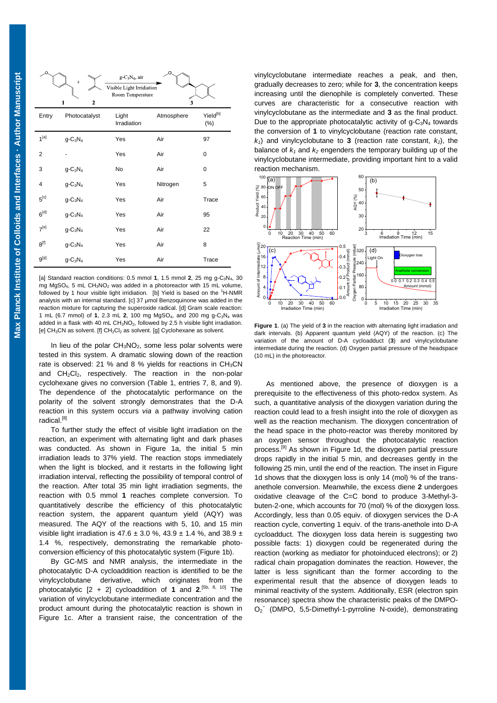| O                       | $^{+}$<br>$\mathbf{2}$<br>$\mathbf{1}$ | $g C_3N_4$ , air<br>Visible Light Irridiation<br>Room Temperature | O<br>mon<br>3 |                       |
|-------------------------|----------------------------------------|-------------------------------------------------------------------|---------------|-----------------------|
| Entry                   | Photocatalyst                          | Light<br>Irradiation                                              | Atmosphere    | $Yield^{[b]}$<br>(% ) |
| $1^{[a]}$               | $g - C_3 N_4$                          | Yes                                                               | Air           | 97                    |
| 2                       |                                        | Yes                                                               | Air           | 0                     |
| 3                       | $g - C_3 N_4$                          | No                                                                | Air           | 0                     |
| $\overline{\mathbf{4}}$ | $q - C_3 N_4$                          | Yes                                                               | Nitrogen      | 5                     |
| $5^{[c]}$               | $q - C_3 N_4$                          | Yes                                                               | Air           | Trace                 |
| $6^{[d]}$               | $q - C_3N_4$                           | Yes                                                               | Air           | 95                    |
| $7^{[e]}$               | $g - C_3 N_4$                          | Yes                                                               | Air           | 22                    |
| $8^{[f]}$               | $g - C_3 N_4$                          | Yes                                                               | Air           | 8                     |
| g[g]                    | $g - C_3 N_4$                          | Yes                                                               | Air           | Trace                 |

[a] Standard reaction conditions:  $0.5$  mmol **1**,  $1.5$  mmol **2**,  $25$  mg g-C<sub>3</sub>N<sub>4</sub>,  $30$ mg MgSO<sub>4</sub>, 5 mL CH<sub>3</sub>NO<sub>2</sub> was added in a photoreactor with 15 mL volume, followed by 1 hour visible light irridiation. [b] Yield is based on the  ${}^{1}$ H-NMR analysis with an internal standard. [c] 37 μmol Benzoquinone was added in the reaction mixture for capturing the superoxide radical. [d] Gram scale reaction: 1 mL (6.7 mmol) of **1**, 2.3 mL **2**, 100 mg MgSO4, and 200 mg g-C3N4 was added in a flask with 40 mL  $CH_3NO_2$ , followed by 2.5 h visible light irradiation. [e]  $CH<sub>3</sub>CN$  as solvent. [f]  $CH<sub>2</sub>Cl<sub>2</sub>$  as solvent. [g] Cyclohexane as solvent.

In lieu of the polar  $CH<sub>3</sub>NO<sub>2</sub>$ , some less polar solvents were tested in this system. A dramatic slowing down of the reaction rate is observed: 21 % and 8 % yields for reactions in  $CH<sub>3</sub>CN$ and  $CH_2Cl_2$ , respectively. The reaction in the non-polar cyclohexane gives no conversion (Table 1, entries 7, 8, and 9). The dependence of the photocatalytic performance on the polarity of the solvent strongly demonstrates that the D-A reaction in this system occurs *via* a pathway involving cation radical.<sup>[8]</sup>

To further study the effect of visible light irradiation on the reaction, an experiment with alternating light and dark phases was conducted. As shown in Figure 1a, the initial 5 min irradiation leads to 37% yield. The reaction stops immediately when the light is blocked, and it restarts in the following light irradiation interval, reflecting the possibility of temporal control of the reaction. After total 35 min light irradiation segments, the reaction with 0.5 mmol **1** reaches complete conversion. To quantitatively describe the efficiency of this photocatalytic reaction system, the apparent quantum yield (AQY) was measured. The AQY of the reactions with 5, 10, and 15 min visible light irradiation is 47.6  $\pm$  3.0 %, 43.9  $\pm$  1.4 %, and 38.9  $\pm$ 1.4 %, respectively, demonstrating the remarkable photoconversion efficiency of this photocatalytic system (Figure 1b).

By GC-MS and NMR analysis, the intermediate in the photocatalytic D-A cycloaddition reaction is identified to be the vinylcyclobutane derivative, which originates from the photocatalytic [2 + 2] cycloaddition of **1** and **2**. [5b, 8, 10] The variation of vinylcyclobutane intermediate concentration and the product amount during the photocatalytic reaction is shown in Figure 1c. After a transient raise, the concentration of the

vinylcyclobutane intermediate reaches a peak, and then, gradually decreases to zero; while for **3**, the concentration keeps increasing until the dienophile is completely converted. These curves are characteristic for a consecutive reaction with vinylcyclobutane as the intermediate and **3** as the final product. Due to the appropriate photocatalytic activity of  $g - C_3N_4$  towards the conversion of **1** to vinylcyclobutane (reaction rate constant,  $k_1$ ) and vinylcyclobutane to **3** (reaction rate constant,  $k_2$ ), the balance of *k<sup>1</sup>* and *k2* engenders the temporary building up of the vinylcyclobutane intermediate, providing important hint to a valid reaction mechanism.



**Figure 1**. (a) The yield of **3** in the reaction with alternating light irradiation and dark intervals. (b) Apparent quantum yield (AQY) of the reaction. (c) The variation of the amount of D-A cycloadduct (**3**) and vinylcyclobutane intermediate during the reaction. (d) Oxygen partial pressure of the headspace (10 mL) in the photoreactor.

As mentioned above, the presence of dioxygen is a prerequisite to the effectiveness of this photo-redox system. As such, a quantitative analysis of the dioxygen variation during the reaction could lead to a fresh insight into the role of dioxygen as well as the reaction mechanism. The dioxygen concentration of the head space in the photo-reactor was thereby monitored by an oxygen sensor throughout the photocatalytic reaction process.<sup>[9]</sup> As shown in Figure 1d, the dioxygen partial pressure drops rapidly in the initial 5 min, and decreases gently in the following 25 min, until the end of the reaction. The inset in Figure 1d shows that the dioxygen loss is only 14 (mol) % of the transanethole conversion. Meanwhile, the excess diene **2** undergoes oxidative cleavage of the C=C bond to produce 3-Methyl-3 buten-2-one, which accounts for 70 (mol) % of the dioxygen loss. Accordingly, less than 0.05 equiv. of dioxygen services the D-A reaction cycle, converting 1 equiv. of the trans-anethole into D-A cycloadduct. The dioxygen loss data herein is suggesting two possible facts: 1) dioxygen could be regenerated during the reaction (working as mediator for photoinduced electrons); or 2) radical chain propagation dominates the reaction. However, the latter is less significant than the former according to the experimental result that the absence of dioxygen leads to minimal reactivity of the system. Additionally, ESR (electron spin resonance) spectra show the characteristic peaks of the DMPO-O<sub>2</sub><sup>-</sup> (DMPO, 5,5-Dimethyl-1-pyrroline N-oxide), demonstrating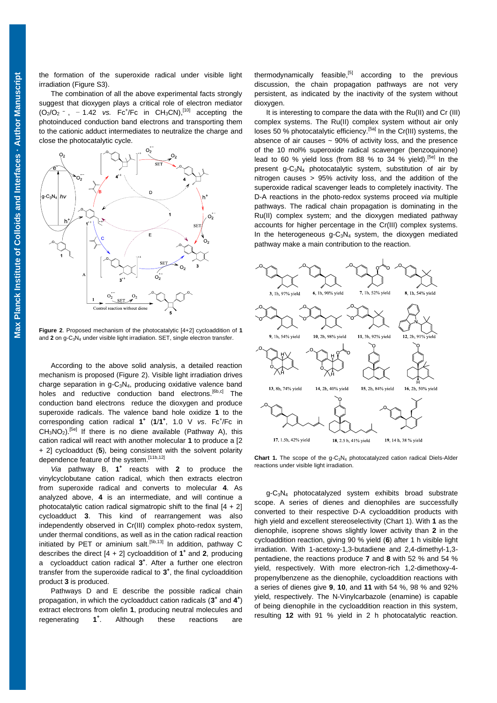the formation of the superoxide radical under visible light irradiation (Figure S3).

 suggest that dioxygen plays a critical role of electron mediator The combination of all the above experimental facts strongly  $(O_2/O_2$  - , - 1.42 *vs.* Fc<sup>+</sup>/Fc in CH<sub>3</sub>CN),<sup>[10]</sup> accepting the photoinduced conduction band electrons and transporting them to the cationic adduct intermediates to neutralize the charge and close the photocatalytic cycle.



**Figure 2**. Proposed mechanism of the photocatalytic [4+2] cycloaddition of **1** and **2** on g-C<sub>3</sub>N<sub>4</sub> under visible light irradiation. SET, single electron transfer.

According to the above solid analysis, a detailed reaction mechanism is proposed (Figure 2). Visible light irradiation drives charge separation in g-C3N4, producing oxidative valence band holes and reductive conduction band electrons.<sup>[6b,c]</sup> The conduction band electrons reduce the dioxygen and produce superoxide radicals. The valence band hole oxidize **1** to the corresponding cation radical 1<sup>+</sup> (1/1<sup>+</sup>, 1.0 V *vs*. Fc<sup>+</sup>/Fc in  $CH<sub>3</sub>NO<sub>2</sub>$ <sup>[5e]</sup> If there is no diene available (Pathway A), this cation radical will react with another molecular **1** to produce a [2 + 2] cycloadduct (**5**), being consistent with the solvent polarity dependence feature of the system.<sup>[11b,12]</sup>

*Via* pathway B, **1 +** reacts with **2** to produce the vinylcyclobutane cation radical, which then extracts electron from superoxide radical and converts to molecular **4**. As analyzed above, **4** is an intermediate, and will continue a photocatalytic cation radical sigmatropic shift to the final  $[4 + 2]$ cycloadduct **3**. This kind of rearrangement was also independently observed in Cr(III) complex photo-redox system, under thermal conditions, as well as in the cation radical reaction initiated by PET or aminium salt.<sup>[5b,13]</sup> In addition, pathway C describes the direct  $[4 + 2]$  cycloaddition of  $1^+$  and 2, producing a cycloadduct cation radical **3 +** . After a further one electron transfer from the superoxide radical to **3 +** , the final cycloaddition product **3** is produced.

Pathways D and E describe the possible radical chain propagation, in which the cycloadduct cation radicals (3<sup>+</sup> and 4<sup>+</sup>) extract electrons from olefin **1**, producing neutral molecules and regenerating **1 +** Although these reactions are

thermodynamically feasible, $[5]$  according to the previous discussion, the chain propagation pathways are not very persistent, as indicated by the inactivity of the system without dioxygen.

It is interesting to compare the data with the Ru(II) and Cr (III) complex systems. The Ru(II) complex system without air only loses 50 % photocatalytic efficiency.<sup>[5a]</sup> In the Cr(III) systems, the absence of air causes  $\sim$  90% of activity loss, and the presence of the 10 mol% superoxide radical scavenger (benzoquinone) lead to 60 % yield loss (from 88 % to 34 % yield).<sup>[5e]</sup> In the present  $g - C_3N_4$  photocatalytic system, substitution of air by nitrogen causes > 95% activity loss, and the addition of the superoxide radical scavenger leads to completely inactivity. The D-A reactions in the photo-redox systems proceed *via* multiple pathways. The radical chain propagation is dominating in the Ru(II) complex system; and the dioxygen mediated pathway accounts for higher percentage in the Cr(III) complex systems. In the heterogeneous  $q - C_3N_4$  system, the dioxygen mediated pathway make a main contribution to the reaction.



**Chart 1.** The scope of the g-C<sub>3</sub>N<sub>4</sub> photocatalyzed cation radical Diels-Alder reactions under visible light irradiation.

g-C3N4 photocatalyzed system exhibits broad substrate scope. A series of dienes and dienophiles are successfully converted to their respective D-A cycloaddition products with high yield and excellent stereoselectivity (Chart 1). With **1** as the dienophile, isoprene shows slightly lower activity than **2** in the cycloaddition reaction, giving 90 % yield (**6**) after 1 h visible light irradiation. With 1-acetoxy-1,3-butadiene and 2,4-dimethyl-1,3 pentadiene, the reactions produce **7** and **8** with 52 % and 54 % yield, respectively. With more electron-rich 1,2-dimethoxy-4 propenylbenzene as the dienophile, cycloaddition reactions with a series of dienes give **9**, **10**, and **11** with 54 %, 98 % and 92% yield, respectively. The N-Vinylcarbazole (enamine) is capable of being dienophile in the cycloaddition reaction in this system, resulting **12** with 91 % yield in 2 h photocatalytic reaction.